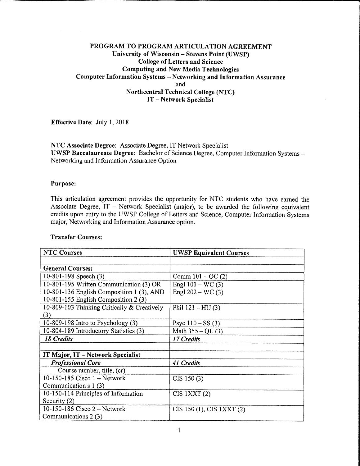# PROGRAM TO PROGRAM ARTICULATION AGREEMENT University of Wisconsin - Stevens Point (UWSP) **College of Letters and Science Computing and New Media Technologies** Computer Information Systems - Networking and Information Assurance and **Northcentral Technical College (NTC)** IT-Network Specialist

Effective Date: July 1, 2018

## NTC Associate Degree: Associate Degree, IT Network Specialist UWSP Baccalaureate Degree: Bachelor of Science Degree, Computer Information Systems -Networking and Information Assurance Option

### Purpose:

This articulation agreement provides the opportunity for NTC students who have earned the Associate Degree, IT - Network Specialist (major), to be awarded the following equivalent credits upon entry to the UWSP College of Letters and Science, Computer Information Systems major, Networking and Information Assurance option.

| <b>NTC Courses</b>                          | <b>UWSP Equivalent Courses</b> |
|---------------------------------------------|--------------------------------|
|                                             |                                |
| <b>General Courses:</b>                     |                                |
| 10-801-198 Speech (3)                       | Comm $101 - OC(2)$             |
| 10-801-195 Written Communication (3) OR     | Engl $101 - WC(3)$             |
| 10-801-136 English Composition 1 (3), AND   | Engl $202 - WC(3)$             |
| 10-801-155 English Composition $2(3)$       |                                |
| 10-809-103 Thinking Critically & Creatively | Phil $121 - HU(3)$             |
| (3)                                         |                                |
| 10-809-198 Intro to Psychology (3)          | Psyc $110 - SS(3)$             |
| 10-804-189 Introductory Statistics (3)      | Math $355 - QL(3)$             |
| <b>18 Credits</b>                           | 17 Credits                     |
|                                             |                                |
| IT Major, IT - Network Specialist           |                                |
| <b>Professional Core</b>                    | <b>41 Credits</b>              |
| Course number, title, (cr)                  |                                |
| 10-150-185 Cisco 1 - Network                | CIS 150(3)                     |
| Communication $s1(3)$                       |                                |
| 10-150-114 Principles of Information        | $CIS$ 1XXT $(2)$               |
| Security (2)                                |                                |
| 10-150-186 Cisco 2 - Network                | CIS 150 (1), CIS 1XXT (2)      |
| Communications 2 (3)                        |                                |

### **Transfer Courses:**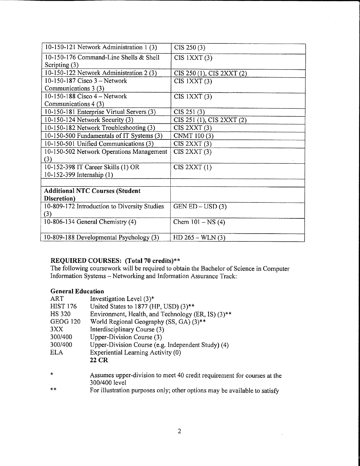| 10-150-121 Network Administration 1 (3)      | CIS 250(3)                |
|----------------------------------------------|---------------------------|
| 10-150-176 Command-Line Shells & Shell       | $CIS$ 1XXT $(3)$          |
| Scripting $(3)$                              |                           |
| 10-150-122 Network Administration 2 (3)      | CIS 250 (1), CIS 2XXT (2) |
| 10-150-187 Cisco 3 - Network                 | $CIS$ 1XXT $(3)$          |
| Communications 3 (3)                         |                           |
| 10-150-188 Cisco $4 - Network$               | $CIS$ $1XXT(3)$           |
| Communications 4 (3)                         |                           |
| 10-150-181 Enterprise Virtual Servers (3)    | CIS 251 (3)               |
| 10-150-124 Network Security (3)              | CIS 251 (1), CIS 2XXT (2) |
| 10-150-182 Network Troubleshooting (3)       | CIS 2XXT(3)               |
| 10-150-500 Fundamentals of IT Systems (3)    | CNMT 100 (3)              |
| 10-150-501 Unified Communications (3)        | CIS 2XXT(3)               |
| 10-150-502 Network Operations Management     | CIS 2XXT(3)               |
| (3)                                          |                           |
| 10-152-398 IT Career Skills (1) OR           | CIS 2XXT(1)               |
| 10-152-399 Internship (1)                    |                           |
|                                              |                           |
| <b>Additional NTC Courses (Student</b>       |                           |
| Discretion)                                  |                           |
| 10-809-172 Introduction to Diversity Studies | $GEN ED - USD(3)$         |
| (3)                                          |                           |
| 10-806-134 General Chemistry (4)             | Chem $101 - NS(4)$        |
|                                              |                           |
| 10-809-188 Developmental Psychology (3)      | $HD 265 - WLN (3)$        |

REQUIRED COURSES: (Total 70 credits)\*\*<br>The following coursework will be required to obtain the Bachelor of Science in Computer<br>Information Systems – Networking and Information Assurance Track:

# **General Education**

| ART             | Investigation Level $(3)^*$                        |
|-----------------|----------------------------------------------------|
| <b>HIST 176</b> | United States to 1877 (HP, USD) (3)**              |
| HS 320          | Environment, Health, and Technology (ER, IS) (3)** |
| <b>GEOG 120</b> | World Regional Geography (SS, GA) (3)**            |
| 3XX             | Interdisciplinary Course (3)                       |
| 300/400         | Upper-Division Course (3)                          |
| 300/400         | Upper-Division Course (e.g. Independent Study) (4) |
| <b>ELA</b>      | Experiential Learning Activity (0)                 |
|                 | 22 CR                                              |
|                 |                                                    |

- Assumes upper-division to meet 40 credit requirement for courses at the  $\ast$ 300/400 level
- For illustration purposes only; other options may be available to satisfy  $\ast\ast$